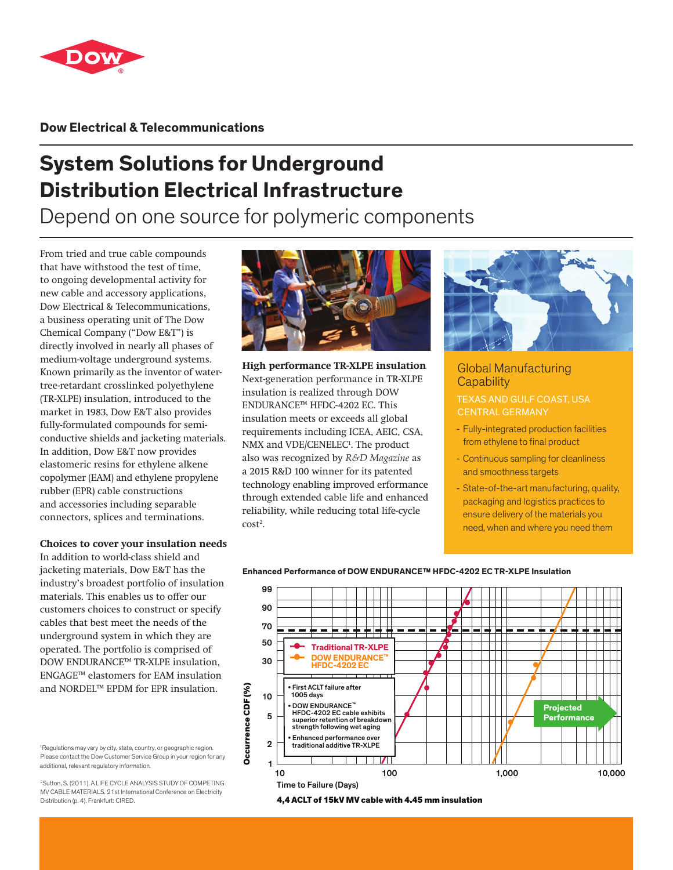

**Dow Electrical & Telecommunications**

# **System Solutions for Underground Distribution Electrical Infrastructure**

Depend on one source for polymeric components

From tried and true cable compounds that have withstood the test of time, to ongoing developmental activity for new cable and accessory applications, Dow Electrical & Telecommunications, a business operating unit of The Dow Chemical Company ("Dow E&T") is directly involved in nearly all phases of medium-voltage underground systems. Known primarily as the inventor of watertree-retardant crosslinked polyethylene (TR-XLPE) insulation, introduced to the market in 1983, Dow E&T also provides fully-formulated compounds for semiconductive shields and jacketing materials. In addition, Dow E&T now provides elastomeric resins for ethylene alkene copolymer (EAM) and ethylene propylene rubber (EPR) cable constructions and accessories including separable connectors, splices and terminations.

## **Choices to cover your insulation needs**

In addition to world-class shield and jacketing materials, Dow E&T has the industry's broadest portfolio of insulation materials. This enables us to offer our customers choices to construct or specify cables that best meet the needs of the underground system in which they are operated. The portfolio is comprised of DOW ENDURANCE™ TR-XLPE insulation, ENGAGE™ elastomers for EAM insulation and NORDEL™ EPDM for EPR insulation.



2Sutton, S. (2011). A LIFE CYCLE ANALYSIS STUDY OF COMPETING MV CABLE MATERIALS. 21st International Conference on Electricity Distribution (p. 4). Frankfurt: CIRED.



**High performance TR-XLPE insulation** Next-generation performance in TR-XLPE insulation is realized through DOW ENDURANCE™ HFDC-4202 EC. This insulation meets or exceeds all global requirements including ICEA, AEIC, CSA, NMX and VDE/CENELEC<sup>1</sup>. The product also was recognized by *R&D Magazine* as a 2015 R&D 100 winner for its patented technology enabling improved erformance through extended cable life and enhanced reliability, while reducing total life-cycle  $cost<sup>2</sup>$ .



## Global Manufacturing **Capability**

## TEXAS AND GULF COAST, USA CENTRAL GERMANY

- Fully-integrated production facilities from ethylene to final product
- Continuous sampling for cleanliness and smoothness targets
- State-of-the-art manufacturing, quality, packaging and logistics practices to ensure delivery of the materials you need, when and where you need them



#### **Enhanced Performance of DOW ENDURANCE™ HFDC-4202 EC TR-XLPE Insulation**

4,4 ACLT of 15kV MV cable with 4.45 mm insulation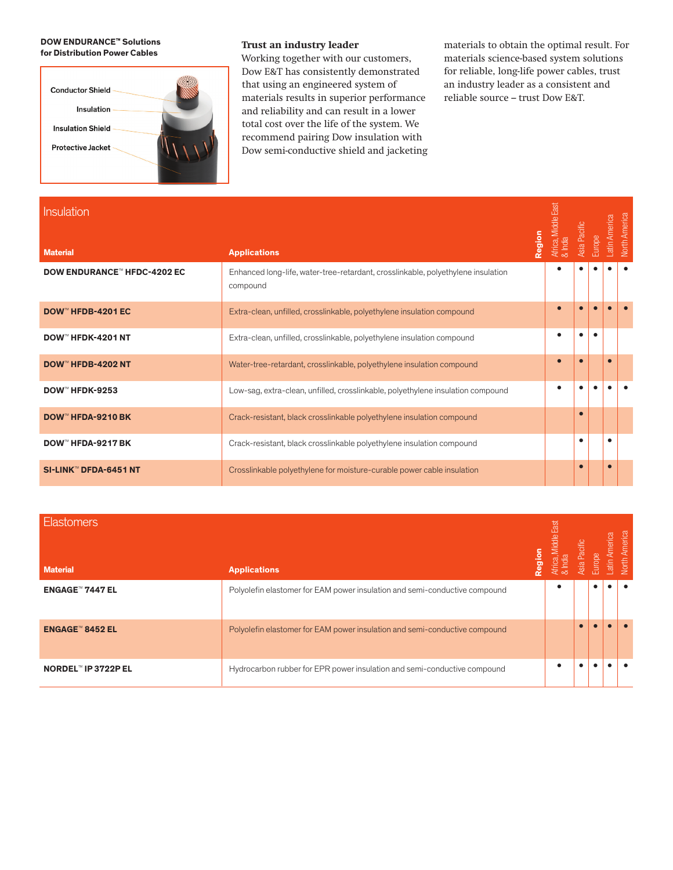#### - **DOW ENDURANCE™ Solutions**  - **for Distribution Power Cables**



### **Trust an industry leader**

Working together with our customers, Dow E&T has consistently demonstrated that using an engineered system of materials results in superior performance and reliability and can result in a lower total cost over the life of the system. We recommend pairing Dow insulation with Dow semi-conductive shield and jacketing materials to obtain the optimal result. For materials science-based system solutions for reliable, long-life power cables, trust an industry leader as a consistent and reliable source – trust Dow E&T.

| <b>Insulation</b>                  | Region                                                                                       | Africa, Middle East<br>& India | Asia Pacific | Europe | atin America | <b>Vorth America</b> |
|------------------------------------|----------------------------------------------------------------------------------------------|--------------------------------|--------------|--------|--------------|----------------------|
| <b>Material</b>                    | <b>Applications</b>                                                                          |                                |              |        |              |                      |
| <b>DOW ENDURANCE™ HFDC-4202 EC</b> | Enhanced long-life, water-tree-retardant, crosslinkable, polyethylene insulation<br>compound |                                |              |        |              |                      |
| DOW <sup>™</sup> HFDB-4201 EC      | Extra-clean, unfilled, crosslinkable, polyethylene insulation compound                       |                                |              |        |              |                      |
| DOW <sup>™</sup> HFDK-4201 NT      | Extra-clean, unfilled, crosslinkable, polyethylene insulation compound                       |                                |              |        |              |                      |
| DOW <sup>™</sup> HFDB-4202 NT      | Water-tree-retardant, crosslinkable, polyethylene insulation compound                        |                                |              |        |              |                      |
| DOW <sup>™</sup> HFDK-9253         | Low-sag, extra-clean, unfilled, crosslinkable, polyethylene insulation compound              |                                |              |        |              |                      |
| <b>DOW™ HFDA-9210 BK</b>           | Crack-resistant, black crosslinkable polyethylene insulation compound                        |                                |              |        |              |                      |
| DOW <sup>™</sup> HFDA-9217 BK      | Crack-resistant, black crosslinkable polyethylene insulation compound                        |                                | $\bullet$    |        | ٠            |                      |
| SI-LINK <sup>™</sup> DFDA-6451 NT  | Crosslinkable polyethylene for moisture-curable power cable insulation                       |                                | $\bullet$    |        | O            |                      |

| <b>Elastomers</b><br><b>Material</b> | noige<br><b>Applications</b>                                               | rica, Middle East<br>India | <b>Asia</b> Pacific | Europe | America<br>atin. | America<br>North |
|--------------------------------------|----------------------------------------------------------------------------|----------------------------|---------------------|--------|------------------|------------------|
| <b>ENGAGE™ 7447 EL</b>               | Polyolefin elastomer for EAM power insulation and semi-conductive compound |                            |                     |        |                  |                  |
| <b>ENGAGE™ 8452 EL</b>               | Polyolefin elastomer for EAM power insulation and semi-conductive compound |                            |                     |        |                  |                  |
| NORDEL™ IP 3722P EL                  | Hydrocarbon rubber for EPR power insulation and semi-conductive compound   |                            |                     |        |                  |                  |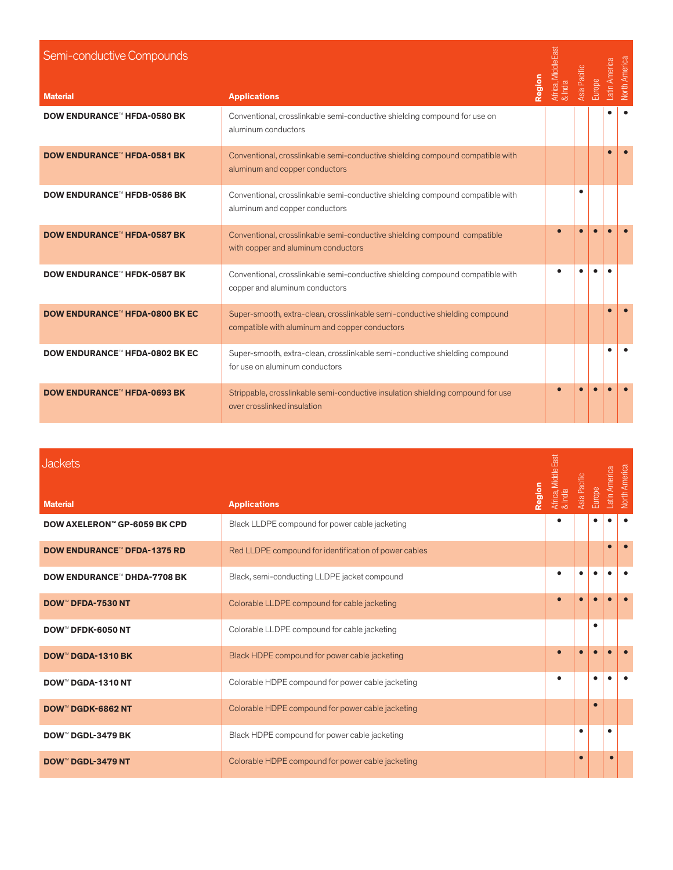| Semi-conductive Compounds             |                                                                                                                               | Africa, Middle E<br>& India | Asia Pacific |        | Latin America | <b>North America</b> |
|---------------------------------------|-------------------------------------------------------------------------------------------------------------------------------|-----------------------------|--------------|--------|---------------|----------------------|
| <b>Material</b>                       | Region<br><b>Applications</b>                                                                                                 |                             |              | Europe |               |                      |
| <b>DOW ENDURANCE™ HFDA-0580 BK</b>    | Conventional, crosslinkable semi-conductive shielding compound for use on<br>aluminum conductors                              |                             |              |        |               |                      |
| <b>DOW ENDURANCE™ HFDA-0581 BK</b>    | Conventional, crosslinkable semi-conductive shielding compound compatible with<br>aluminum and copper conductors              |                             |              |        |               |                      |
| <b>DOW ENDURANCE™ HFDB-0586 BK</b>    | Conventional, crosslinkable semi-conductive shielding compound compatible with<br>aluminum and copper conductors              |                             |              |        |               |                      |
| <b>DOW ENDURANCE™ HFDA-0587 BK</b>    | Conventional, crosslinkable semi-conductive shielding compound compatible<br>with copper and aluminum conductors              | $\bullet$                   |              |        |               |                      |
| <b>DOW ENDURANCE™ HFDK-0587 BK</b>    | Conventional, crosslinkable semi-conductive shielding compound compatible with<br>copper and aluminum conductors              |                             |              |        |               |                      |
| <b>DOW ENDURANCE™ HFDA-0800 BK EC</b> | Super-smooth, extra-clean, crosslinkable semi-conductive shielding compound<br>compatible with aluminum and copper conductors |                             |              |        |               |                      |
| <b>DOW ENDURANCE™ HFDA-0802 BK EC</b> | Super-smooth, extra-clean, crosslinkable semi-conductive shielding compound<br>for use on aluminum conductors                 |                             |              |        |               |                      |
| <b>DOW ENDURANCE™ HFDA-0693 BK</b>    | Strippable, crosslinkable semi-conductive insulation shielding compound for use<br>over crosslinked insulation                |                             |              |        |               |                      |

| <b>Jackets</b>                     |                                                       | Africa, Middle East <sup> </sup><br>& India | Asia Pacific |           | Latin America | <b>North America</b> |
|------------------------------------|-------------------------------------------------------|---------------------------------------------|--------------|-----------|---------------|----------------------|
| <b>Material</b>                    | Region<br><b>Applications</b>                         |                                             |              | Europe    |               |                      |
| DOW AXELERON™ GP-6059 BK CPD       | Black LLDPE compound for power cable jacketing        |                                             |              |           |               |                      |
| <b>DOW ENDURANCE™ DFDA-1375 RD</b> | Red LLDPE compound for identification of power cables |                                             |              |           |               |                      |
| <b>DOW ENDURANCE™ DHDA-7708 BK</b> | Black, semi-conducting LLDPE jacket compound          | $\bullet$                                   |              |           |               |                      |
| <b>DOW™ DFDA-7530 NT</b>           | Colorable LLDPE compound for cable jacketing          |                                             |              |           |               |                      |
| <b>DOW™ DFDK-6050 NT</b>           | Colorable LLDPE compound for cable jacketing          |                                             |              | $\bullet$ |               |                      |
| <b>DOW™ DGDA-1310 BK</b>           | Black HDPE compound for power cable jacketing         | $\bullet$                                   |              |           |               |                      |
| <b>DOW™ DGDA-1310 NT</b>           | Colorable HDPE compound for power cable jacketing     | $\bullet$                                   |              | $\bullet$ |               |                      |
| <b>DOW™ DGDK-6862 NT</b>           | Colorable HDPE compound for power cable jacketing     |                                             |              |           |               |                      |
| DOW™ DGDL-3479 BK                  | Black HDPE compound for power cable jacketing         |                                             | $\bullet$    |           |               |                      |
| <b>DOW™ DGDL-3479 NT</b>           | Colorable HDPE compound for power cable jacketing     |                                             |              |           |               |                      |